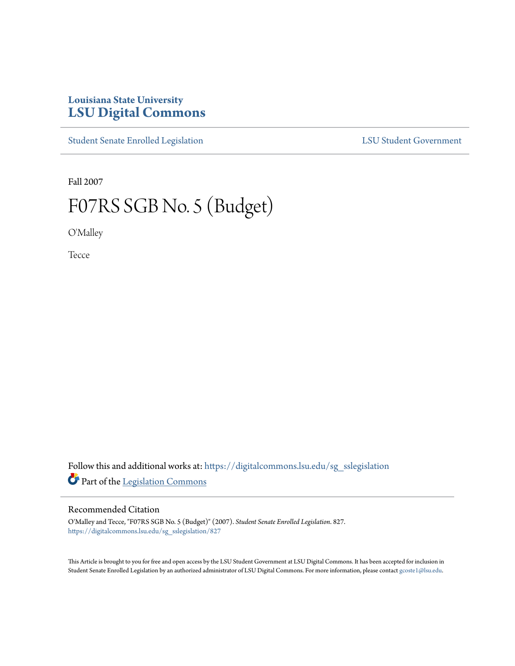# **Louisiana State University [LSU Digital Commons](https://digitalcommons.lsu.edu?utm_source=digitalcommons.lsu.edu%2Fsg_sslegislation%2F827&utm_medium=PDF&utm_campaign=PDFCoverPages)**

[Student Senate Enrolled Legislation](https://digitalcommons.lsu.edu/sg_sslegislation?utm_source=digitalcommons.lsu.edu%2Fsg_sslegislation%2F827&utm_medium=PDF&utm_campaign=PDFCoverPages) [LSU Student Government](https://digitalcommons.lsu.edu/sg?utm_source=digitalcommons.lsu.edu%2Fsg_sslegislation%2F827&utm_medium=PDF&utm_campaign=PDFCoverPages)

Fall 2007

# F07RS SGB No. 5 (Budget)

O'Malley

Tecce

Follow this and additional works at: [https://digitalcommons.lsu.edu/sg\\_sslegislation](https://digitalcommons.lsu.edu/sg_sslegislation?utm_source=digitalcommons.lsu.edu%2Fsg_sslegislation%2F827&utm_medium=PDF&utm_campaign=PDFCoverPages) Part of the [Legislation Commons](http://network.bepress.com/hgg/discipline/859?utm_source=digitalcommons.lsu.edu%2Fsg_sslegislation%2F827&utm_medium=PDF&utm_campaign=PDFCoverPages)

### Recommended Citation

O'Malley and Tecce, "F07RS SGB No. 5 (Budget)" (2007). *Student Senate Enrolled Legislation*. 827. [https://digitalcommons.lsu.edu/sg\\_sslegislation/827](https://digitalcommons.lsu.edu/sg_sslegislation/827?utm_source=digitalcommons.lsu.edu%2Fsg_sslegislation%2F827&utm_medium=PDF&utm_campaign=PDFCoverPages)

This Article is brought to you for free and open access by the LSU Student Government at LSU Digital Commons. It has been accepted for inclusion in Student Senate Enrolled Legislation by an authorized administrator of LSU Digital Commons. For more information, please contact [gcoste1@lsu.edu.](mailto:gcoste1@lsu.edu)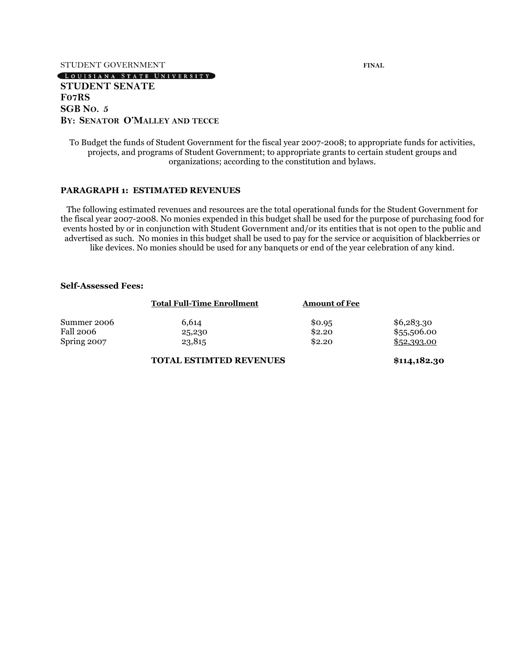#### STUDENT GOVERNMENT **FINAL**

#### LOUISIANA STATE UNIVERSITY

#### **STUDENT SENATE F07RS SGB NO. 5 BY: SENATOR O'MALLEY AND TECCE**

To Budget the funds of Student Government for the fiscal year 2007-2008; to appropriate funds for activities, projects, and programs of Student Government; to appropriate grants to certain student groups and organizations; according to the constitution and bylaws.

#### **PARAGRAPH 1: ESTIMATED REVENUES**

The following estimated revenues and resources are the total operational funds for the Student Government for the fiscal year 2007-2008. No monies expended in this budget shall be used for the purpose of purchasing food for events hosted by or in conjunction with Student Government and/or its entities that is not open to the public and advertised as such. No monies in this budget shall be used to pay for the service or acquisition of blackberries or like devices. No monies should be used for any banquets or end of the year celebration of any kind.

#### **Self-Assessed Fees:**

|                  | <b>Total Full-Time Enrollment</b> | <b>Amount of Fee</b> |             |
|------------------|-----------------------------------|----------------------|-------------|
| Summer 2006      | 6.614                             | \$0.95               | \$6,283.30  |
| <b>Fall 2006</b> | 25,230                            | \$2.20               | \$55,506.00 |
| Spring 2007      | 23,815                            | \$2.20               | \$52,393.00 |

#### **TOTAL ESTIMTED REVENUES \$114,182.30**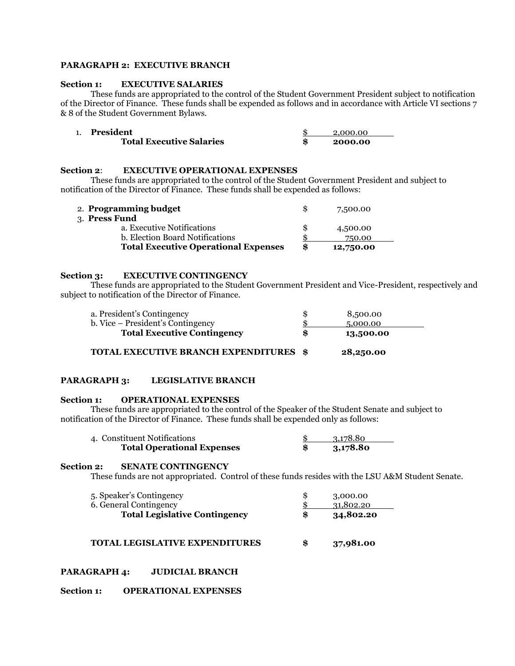#### **PARAGRAPH 2: EXECUTIVE BRANCH**

#### **Section 1: EXECUTIVE SALARIES**

These funds are appropriated to the control of the Student Government President subject to notification of the Director of Finance. These funds shall be expended as follows and in accordance with Article VI sections 7 & 8 of the Student Government Bylaws.

| President                       | 2.000.00 |
|---------------------------------|----------|
| <b>Total Executive Salaries</b> | 2000.00  |

#### **Section 2**: **EXECUTIVE OPERATIONAL EXPENSES**

These funds are appropriated to the control of the Student Government President and subject to notification of the Director of Finance. These funds shall be expended as follows:

| <b>Total Executive Operational Expenses</b> | \$ | 750.00<br>12,750.00 |  |
|---------------------------------------------|----|---------------------|--|
| b. Election Board Notifications             |    |                     |  |
| a. Executive Notifications                  |    | 4,500.00            |  |
| 3. Press Fund                               |    |                     |  |
| 2. Programming budget                       |    | 7,500.00            |  |

#### **Section 3: EXECUTIVE CONTINGENCY**

3. **Press Fund**

These funds are appropriated to the Student Government President and Vice-President, respectively and subject to notification of the Director of Finance.

| a. President's Contingency          | 8,500.00        |
|-------------------------------------|-----------------|
| b. Vice – President's Contingency   | 5,000.00        |
| <b>Total Executive Contingency</b>  | \$<br>13,500.00 |
| TOTAL EXECUTIVE BRANCH EXPENDITURES | 28,250.00       |

#### **PARAGRAPH 3: LEGISLATIVE BRANCH**

#### **Section 1: OPERATIONAL EXPENSES**

These funds are appropriated to the control of the Speaker of the Student Senate and subject to notification of the Director of Finance. These funds shall be expended only as follows:

| 4. Constituent Notifications      | 3.178.80 |
|-----------------------------------|----------|
| <b>Total Operational Expenses</b> | 3,178.80 |

#### **Section 2: SENATE CONTINGENCY**

These funds are not appropriated. Control of these funds resides with the LSU A&M Student Senate.

| 5. Speaker's Contingency<br>6. General Contingency | 3,000.00<br>31,802.20 |
|----------------------------------------------------|-----------------------|
| <b>Total Legislative Contingency</b>               | \$<br>34,802.20       |
|                                                    |                       |

#### **TOTAL LEGISLATIVE EXPENDITURES \$ 37,981.00**

#### **PARAGRAPH 4: JUDICIAL BRANCH**

#### **Section 1: OPERATIONAL EXPENSES**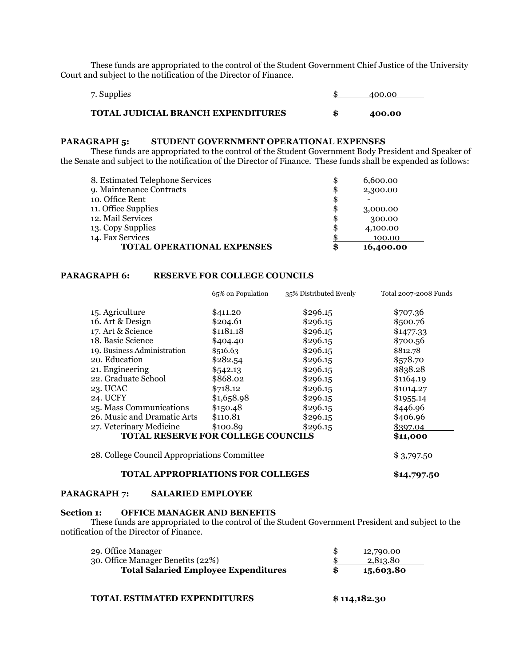These funds are appropriated to the control of the Student Government Chief Justice of the University Court and subject to the notification of the Director of Finance.

| 7. Supplies                               | 400.00 |
|-------------------------------------------|--------|
| <b>TOTAL JUDICIAL BRANCH EXPENDITURES</b> | 400.00 |

#### **PARAGRAPH 5: STUDENT GOVERNMENT OPERATIONAL EXPENSES**

These funds are appropriated to the control of the Student Government Body President and Speaker of the Senate and subject to the notification of the Director of Finance. These funds shall be expended as follows:

| <b>TOTAL OPERATIONAL EXPENSES</b> | \$ | 16,400.00 |
|-----------------------------------|----|-----------|
| 14. Fax Services                  |    | 100.00    |
| 13. Copy Supplies                 | S  | 4,100.00  |
| 12. Mail Services                 | \$ | 300.00    |
| 11. Office Supplies               | \$ | 3,000.00  |
| 10. Office Rent                   | \$ |           |
| 9. Maintenance Contracts          | \$ | 2,300.00  |
| 8. Estimated Telephone Services   | \$ | 6,600.00  |

#### **PARAGRAPH 6: RESERVE FOR COLLEGE COUNCILS**

|                                              | 65% on Population | 35% Distributed Evenly | Total 2007-2008 Funds |
|----------------------------------------------|-------------------|------------------------|-----------------------|
| 15. Agriculture                              | \$411.20          | \$296.15               | \$707.36              |
| 16. Art & Design                             | \$204.61          | \$296.15               | \$500.76              |
| 17. Art & Science                            | \$1181.18         | \$296.15               | \$1477.33             |
| 18. Basic Science                            | \$404.40          | \$296.15               | \$700.56              |
| 19. Business Administration                  | \$516.63          | \$296.15               | \$812.78              |
| 20. Education                                | \$282.54          | \$296.15               | \$578.70              |
| 21. Engineering                              | \$542.13          | \$296.15               | \$838.28              |
| 22. Graduate School                          | \$868.02          | \$296.15               | \$1164.19             |
| 23. UCAC                                     | \$718.12          | \$296.15               | \$1014.27             |
| 24. UCFY                                     | \$1,658.98        | \$296.15               | \$1955.14             |
| 25. Mass Communications                      | \$150.48          | \$296.15               | \$446.96              |
| 26. Music and Dramatic Arts                  | \$110.81          | \$296.15               | \$406.96              |
| 27. Veterinary Medicine                      | \$100.89          | \$296.15               | \$397.04              |
| <b>TOTAL RESERVE FOR COLLEGE COUNCILS</b>    |                   |                        | \$11,000              |
| 28. College Council Appropriations Committee |                   |                        | \$3,797.50            |

#### **TOTAL APPROPRIATIONS FOR COLLEGES \$14,797.50**

#### **PARAGRAPH 7: SALARIED EMPLOYEE**

#### **Section 1: OFFICE MANAGER AND BENEFITS**

These funds are appropriated to the control of the Student Government President and subject to the notification of the Director of Finance.

| 29. Office Manager                          | 12,790.00 |  |
|---------------------------------------------|-----------|--|
| 30. Office Manager Benefits (22%)           | 2.813.80  |  |
| <b>Total Salaried Employee Expenditures</b> | 15,603.80 |  |
|                                             |           |  |

#### **TOTAL ESTIMATED EXPENDITURES \$ 114,182.30**